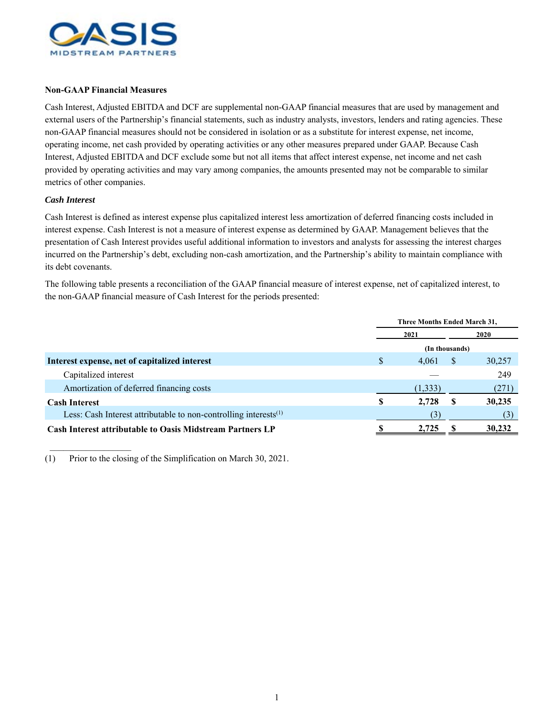

## **Non-GAAP Financial Measures**

Cash Interest, Adjusted EBITDA and DCF are supplemental non-GAAP financial measures that are used by management and external users of the Partnership's financial statements, such as industry analysts, investors, lenders and rating agencies. These non-GAAP financial measures should not be considered in isolation or as a substitute for interest expense, net income, operating income, net cash provided by operating activities or any other measures prepared under GAAP. Because Cash Interest, Adjusted EBITDA and DCF exclude some but not all items that affect interest expense, net income and net cash provided by operating activities and may vary among companies, the amounts presented may not be comparable to similar metrics of other companies.

## *Cash Interest*

 $\frac{1}{2}$  ,  $\frac{1}{2}$  ,  $\frac{1}{2}$  ,  $\frac{1}{2}$  ,  $\frac{1}{2}$  ,  $\frac{1}{2}$  ,  $\frac{1}{2}$  ,  $\frac{1}{2}$  ,  $\frac{1}{2}$ 

Cash Interest is defined as interest expense plus capitalized interest less amortization of deferred financing costs included in interest expense. Cash Interest is not a measure of interest expense as determined by GAAP. Management believes that the presentation of Cash Interest provides useful additional information to investors and analysts for assessing the interest charges incurred on the Partnership's debt, excluding non-cash amortization, and the Partnership's ability to maintain compliance with its debt covenants.

The following table presents a reconciliation of the GAAP financial measure of interest expense, net of capitalized interest, to the non-GAAP financial measure of Cash Interest for the periods presented:

|                                                                        | Three Months Ended March 31, |          |   |             |  |
|------------------------------------------------------------------------|------------------------------|----------|---|-------------|--|
|                                                                        |                              | 2021     |   | <b>2020</b> |  |
|                                                                        | (In thousands)               |          |   |             |  |
| Interest expense, net of capitalized interest                          | S                            | 4,061    | S | 30,257      |  |
| Capitalized interest                                                   |                              |          |   | 249         |  |
| Amortization of deferred financing costs                               |                              | (1, 333) |   | (271)       |  |
| <b>Cash Interest</b>                                                   | S                            | 2,728    |   | 30,235      |  |
| Less: Cash Interest attributable to non-controlling interests $^{(1)}$ |                              |          |   |             |  |
| <b>Cash Interest attributable to Oasis Midstream Partners LP</b>       |                              | 2.725    |   | 30,232      |  |
|                                                                        |                              |          |   |             |  |

(1) Prior to the closing of the Simplification on March 30, 2021.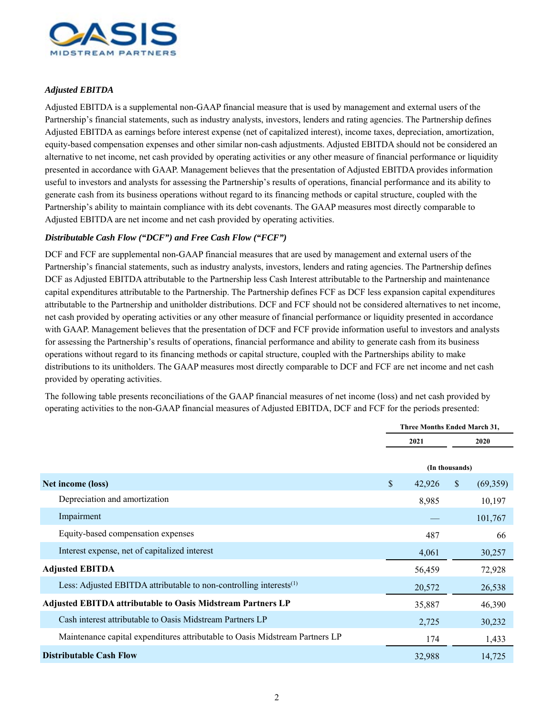

## *Adjusted EBITDA*

Adjusted EBITDA is a supplemental non-GAAP financial measure that is used by management and external users of the Partnership's financial statements, such as industry analysts, investors, lenders and rating agencies. The Partnership defines Adjusted EBITDA as earnings before interest expense (net of capitalized interest), income taxes, depreciation, amortization, equity-based compensation expenses and other similar non-cash adjustments. Adjusted EBITDA should not be considered an alternative to net income, net cash provided by operating activities or any other measure of financial performance or liquidity presented in accordance with GAAP. Management believes that the presentation of Adjusted EBITDA provides information useful to investors and analysts for assessing the Partnership's results of operations, financial performance and its ability to generate cash from its business operations without regard to its financing methods or capital structure, coupled with the Partnership's ability to maintain compliance with its debt covenants. The GAAP measures most directly comparable to Adjusted EBITDA are net income and net cash provided by operating activities.

## *Distributable Cash Flow ("DCF") and Free Cash Flow ("FCF")*

DCF and FCF are supplemental non-GAAP financial measures that are used by management and external users of the Partnership's financial statements, such as industry analysts, investors, lenders and rating agencies. The Partnership defines DCF as Adjusted EBITDA attributable to the Partnership less Cash Interest attributable to the Partnership and maintenance capital expenditures attributable to the Partnership. The Partnership defines FCF as DCF less expansion capital expenditures attributable to the Partnership and unitholder distributions. DCF and FCF should not be considered alternatives to net income, net cash provided by operating activities or any other measure of financial performance or liquidity presented in accordance with GAAP. Management believes that the presentation of DCF and FCF provide information useful to investors and analysts for assessing the Partnership's results of operations, financial performance and ability to generate cash from its business operations without regard to its financing methods or capital structure, coupled with the Partnerships ability to make distributions to its unitholders. The GAAP measures most directly comparable to DCF and FCF are net income and net cash provided by operating activities.

The following table presents reconciliations of the GAAP financial measures of net income (loss) and net cash provided by operating activities to the non-GAAP financial measures of Adjusted EBITDA, DCF and FCF for the periods presented:

|                                                                                |              | <b>Three Months Ended March 31.</b> |               |          |  |
|--------------------------------------------------------------------------------|--------------|-------------------------------------|---------------|----------|--|
|                                                                                |              | 2021                                |               | 2020     |  |
|                                                                                |              | (In thousands)                      |               |          |  |
| Net income (loss)                                                              | $\mathbb{S}$ | 42,926                              | $\mathcal{S}$ | (69,359) |  |
| Depreciation and amortization                                                  |              | 8,985                               |               | 10,197   |  |
| Impairment                                                                     |              |                                     |               | 101,767  |  |
| Equity-based compensation expenses                                             |              | 487                                 |               | 66       |  |
| Interest expense, net of capitalized interest                                  |              | 4,061                               |               | 30,257   |  |
| <b>Adjusted EBITDA</b>                                                         |              | 56,459                              |               | 72,928   |  |
| Less: Adjusted EBITDA attributable to non-controlling interests <sup>(1)</sup> |              | 20,572                              |               | 26,538   |  |
| <b>Adjusted EBITDA attributable to Oasis Midstream Partners LP</b>             |              | 35,887                              |               | 46,390   |  |
| Cash interest attributable to Oasis Midstream Partners LP                      |              | 2,725                               |               | 30,232   |  |
| Maintenance capital expenditures attributable to Oasis Midstream Partners LP   |              | 174                                 |               | 1,433    |  |
| <b>Distributable Cash Flow</b>                                                 |              | 32,988                              |               | 14,725   |  |